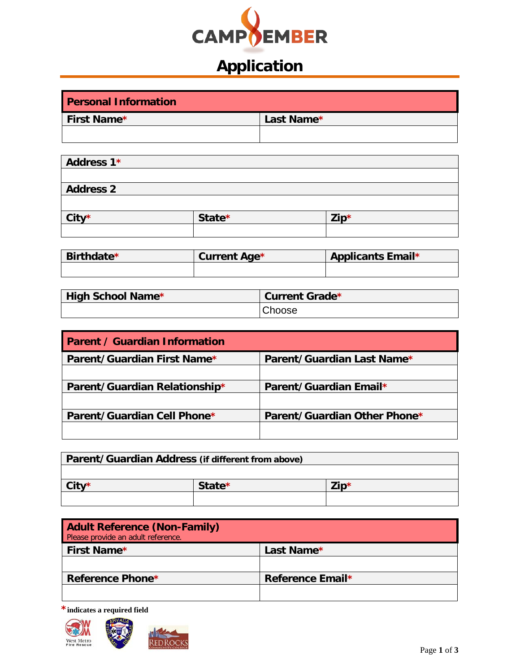

# **Application**

| <b>Personal Information</b> |            |
|-----------------------------|------------|
| <b>First Name*</b>          | Last Name* |
|                             |            |

| Address 1*       |        |                        |
|------------------|--------|------------------------|
|                  |        |                        |
| <b>Address 2</b> |        |                        |
|                  |        |                        |
| City*            | State* | $\mathsf{Zip}^{\star}$ |
|                  |        |                        |

| Birthdate* | <b>Current Age*</b> | <b>Applicants Email*</b> |
|------------|---------------------|--------------------------|
|            |                     |                          |

| High School Name* | Current Grade* |
|-------------------|----------------|
|                   | Choose         |

| <b>Parent / Guardian Information</b> |                              |
|--------------------------------------|------------------------------|
| Parent/Guardian First Name*          | Parent/Guardian Last Name*   |
|                                      |                              |
| Parent/Guardian Relationship*        | Parent/Guardian Email*       |
|                                      |                              |
| Parent/Guardian Cell Phone*          | Parent/Guardian Other Phone* |
|                                      |                              |

| Parent/Guardian Address (if different from above) |        |      |
|---------------------------------------------------|--------|------|
|                                                   |        |      |
| City*                                             | State* | 'in* |
|                                                   |        |      |

| <b>Adult Reference (Non-Family)</b><br>Please provide an adult reference. |                  |
|---------------------------------------------------------------------------|------------------|
| First Name*                                                               | Last Name*       |
|                                                                           |                  |
| Reference Phone*                                                          | Reference Email* |
|                                                                           |                  |

**\*indicates a required field**

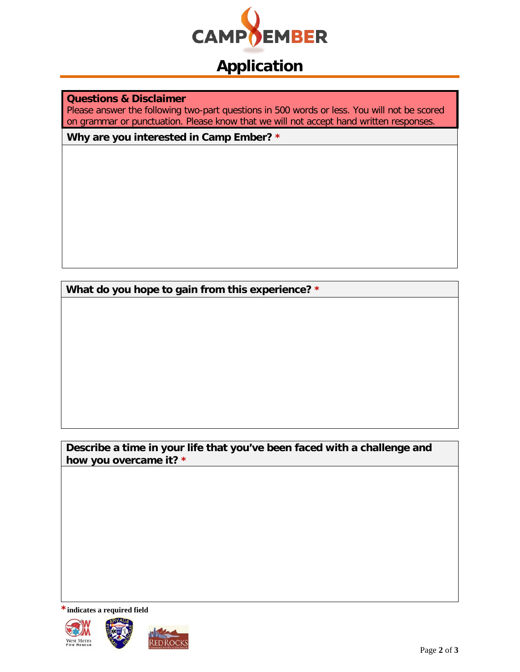

# **Application**

**Questions & Disclaimer**

Please answer the following two-part questions in 500 words or less. You will not be scored on grammar or punctuation. Please know that we will not accept hand written responses.

**Why are you interested in Camp Ember? \***

**What do you hope to gain from this experience? \***

**Describe a time in your life that you've been faced with a challenge and how you overcame it? \***

**\*indicates a required field**